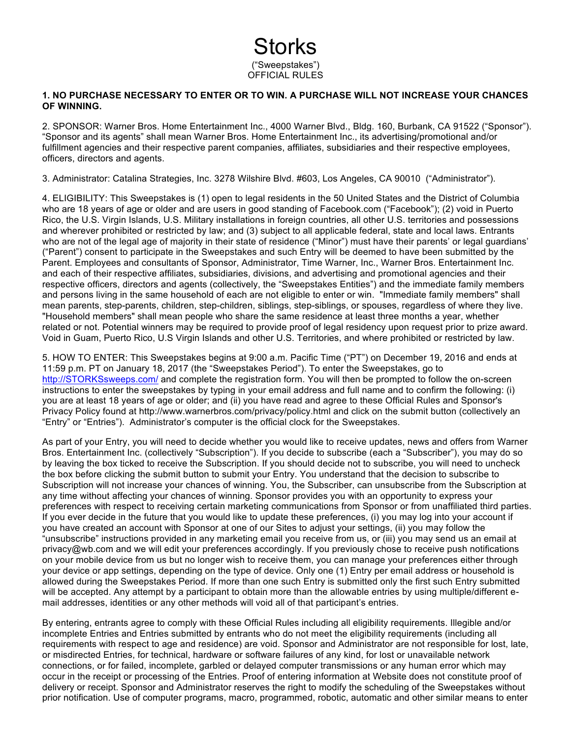## Storks ("Sweepstakes") OFFICIAL RULES

## **1. NO PURCHASE NECESSARY TO ENTER OR TO WIN. A PURCHASE WILL NOT INCREASE YOUR CHANCES OF WINNING.**

2. SPONSOR: Warner Bros. Home Entertainment Inc., 4000 Warner Blvd., Bldg. 160, Burbank, CA 91522 ("Sponsor"). "Sponsor and its agents" shall mean Warner Bros. Home Entertainment Inc., its advertising/promotional and/or fulfillment agencies and their respective parent companies, affiliates, subsidiaries and their respective employees, officers, directors and agents.

3. Administrator: Catalina Strategies, Inc. 3278 Wilshire Blvd. #603, Los Angeles, CA 90010 ("Administrator").

4. ELIGIBILITY: This Sweepstakes is (1) open to legal residents in the 50 United States and the District of Columbia who are 18 years of age or older and are users in good standing of Facebook.com ("Facebook"); (2) void in Puerto Rico, the U.S. Virgin Islands, U.S. Military installations in foreign countries, all other U.S. territories and possessions and wherever prohibited or restricted by law; and (3) subject to all applicable federal, state and local laws. Entrants who are not of the legal age of majority in their state of residence ("Minor") must have their parents' or legal guardians' ("Parent") consent to participate in the Sweepstakes and such Entry will be deemed to have been submitted by the Parent. Employees and consultants of Sponsor, Administrator, Time Warner, Inc., Warner Bros. Entertainment Inc. and each of their respective affiliates, subsidiaries, divisions, and advertising and promotional agencies and their respective officers, directors and agents (collectively, the "Sweepstakes Entities") and the immediate family members and persons living in the same household of each are not eligible to enter or win. "Immediate family members" shall mean parents, step-parents, children, step-children, siblings, step-siblings, or spouses, regardless of where they live. "Household members" shall mean people who share the same residence at least three months a year, whether related or not. Potential winners may be required to provide proof of legal residency upon request prior to prize award. Void in Guam, Puerto Rico, U.S Virgin Islands and other U.S. Territories, and where prohibited or restricted by law.

5. HOW TO ENTER: This Sweepstakes begins at 9:00 a.m. Pacific Time ("PT") on December 19, 2016 and ends at 11:59 p.m. PT on January 18, 2017 (the "Sweepstakes Period"). To enter the Sweepstakes, go to http://STORKSsweeps.com/ and complete the registration form. You will then be prompted to follow the on-screen instructions to enter the sweepstakes by typing in your email address and full name and to confirm the following: (i) you are at least 18 years of age or older; and (ii) you have read and agree to these Official Rules and Sponsor's Privacy Policy found at http://www.warnerbros.com/privacy/policy.html and click on the submit button (collectively an "Entry" or "Entries"). Administrator's computer is the official clock for the Sweepstakes.

As part of your Entry, you will need to decide whether you would like to receive updates, news and offers from Warner Bros. Entertainment Inc. (collectively "Subscription"). If you decide to subscribe (each a "Subscriber"), you may do so by leaving the box ticked to receive the Subscription. If you should decide not to subscribe, you will need to uncheck the box before clicking the submit button to submit your Entry. You understand that the decision to subscribe to Subscription will not increase your chances of winning. You, the Subscriber, can unsubscribe from the Subscription at any time without affecting your chances of winning. Sponsor provides you with an opportunity to express your preferences with respect to receiving certain marketing communications from Sponsor or from unaffiliated third parties. If you ever decide in the future that you would like to update these preferences, (i) you may log into your account if you have created an account with Sponsor at one of our Sites to adjust your settings, (ii) you may follow the "unsubscribe" instructions provided in any marketing email you receive from us, or (iii) you may send us an email at privacy@wb.com and we will edit your preferences accordingly. If you previously chose to receive push notifications on your mobile device from us but no longer wish to receive them, you can manage your preferences either through your device or app settings, depending on the type of device. Only one (1) Entry per email address or household is allowed during the Sweepstakes Period. If more than one such Entry is submitted only the first such Entry submitted will be accepted. Any attempt by a participant to obtain more than the allowable entries by using multiple/different email addresses, identities or any other methods will void all of that participant's entries.

By entering, entrants agree to comply with these Official Rules including all eligibility requirements. Illegible and/or incomplete Entries and Entries submitted by entrants who do not meet the eligibility requirements (including all requirements with respect to age and residence) are void. Sponsor and Administrator are not responsible for lost, late, or misdirected Entries, for technical, hardware or software failures of any kind, for lost or unavailable network connections, or for failed, incomplete, garbled or delayed computer transmissions or any human error which may occur in the receipt or processing of the Entries. Proof of entering information at Website does not constitute proof of delivery or receipt. Sponsor and Administrator reserves the right to modify the scheduling of the Sweepstakes without prior notification. Use of computer programs, macro, programmed, robotic, automatic and other similar means to enter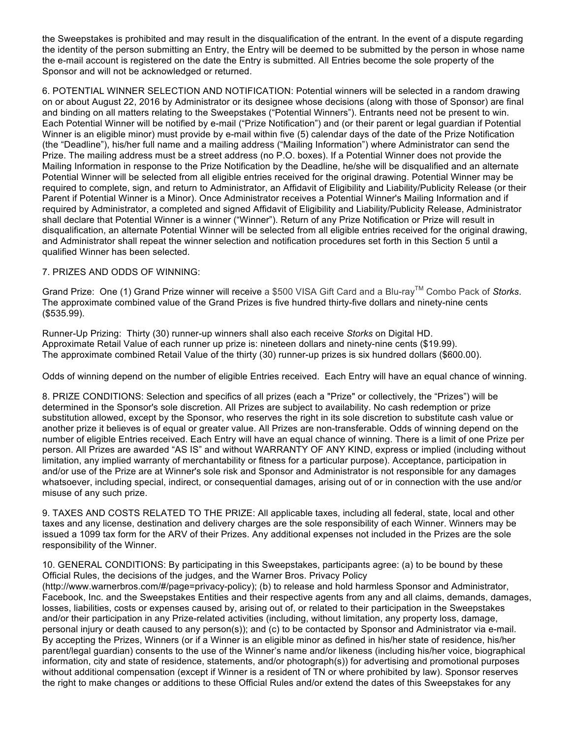the Sweepstakes is prohibited and may result in the disqualification of the entrant. In the event of a dispute regarding the identity of the person submitting an Entry, the Entry will be deemed to be submitted by the person in whose name the e-mail account is registered on the date the Entry is submitted. All Entries become the sole property of the Sponsor and will not be acknowledged or returned.

6. POTENTIAL WINNER SELECTION AND NOTIFICATION: Potential winners will be selected in a random drawing on or about August 22, 2016 by Administrator or its designee whose decisions (along with those of Sponsor) are final and binding on all matters relating to the Sweepstakes ("Potential Winners"). Entrants need not be present to win. Each Potential Winner will be notified by e-mail ("Prize Notification") and (or their parent or legal guardian if Potential Winner is an eligible minor) must provide by e-mail within five (5) calendar days of the date of the Prize Notification (the "Deadline"), his/her full name and a mailing address ("Mailing Information") where Administrator can send the Prize. The mailing address must be a street address (no P.O. boxes). If a Potential Winner does not provide the Mailing Information in response to the Prize Notification by the Deadline, he/she will be disqualified and an alternate Potential Winner will be selected from all eligible entries received for the original drawing. Potential Winner may be required to complete, sign, and return to Administrator, an Affidavit of Eligibility and Liability/Publicity Release (or their Parent if Potential Winner is a Minor). Once Administrator receives a Potential Winner's Mailing Information and if required by Administrator, a completed and signed Affidavit of Eligibility and Liability/Publicity Release, Administrator shall declare that Potential Winner is a winner ("Winner"). Return of any Prize Notification or Prize will result in disqualification, an alternate Potential Winner will be selected from all eligible entries received for the original drawing, and Administrator shall repeat the winner selection and notification procedures set forth in this Section 5 until a qualified Winner has been selected.

## 7. PRIZES AND ODDS OF WINNING:

Grand Prize: One (1) Grand Prize winner will receive a \$500 VISA Gift Card and a Blu-rayTM Combo Pack of *Storks*. The approximate combined value of the Grand Prizes is five hundred thirty-five dollars and ninety-nine cents (\$535.99).

Runner-Up Prizing: Thirty (30) runner-up winners shall also each receive *Storks* on Digital HD. Approximate Retail Value of each runner up prize is: nineteen dollars and ninety-nine cents (\$19.99). The approximate combined Retail Value of the thirty (30) runner-up prizes is six hundred dollars (\$600.00).

Odds of winning depend on the number of eligible Entries received. Each Entry will have an equal chance of winning.

8. PRIZE CONDITIONS: Selection and specifics of all prizes (each a "Prize" or collectively, the "Prizes") will be determined in the Sponsor's sole discretion. All Prizes are subject to availability. No cash redemption or prize substitution allowed, except by the Sponsor, who reserves the right in its sole discretion to substitute cash value or another prize it believes is of equal or greater value. All Prizes are non-transferable. Odds of winning depend on the number of eligible Entries received. Each Entry will have an equal chance of winning. There is a limit of one Prize per person. All Prizes are awarded "AS IS" and without WARRANTY OF ANY KIND, express or implied (including without limitation, any implied warranty of merchantability or fitness for a particular purpose). Acceptance, participation in and/or use of the Prize are at Winner's sole risk and Sponsor and Administrator is not responsible for any damages whatsoever, including special, indirect, or consequential damages, arising out of or in connection with the use and/or misuse of any such prize.

9. TAXES AND COSTS RELATED TO THE PRIZE: All applicable taxes, including all federal, state, local and other taxes and any license, destination and delivery charges are the sole responsibility of each Winner. Winners may be issued a 1099 tax form for the ARV of their Prizes. Any additional expenses not included in the Prizes are the sole responsibility of the Winner.

10. GENERAL CONDITIONS: By participating in this Sweepstakes, participants agree: (a) to be bound by these Official Rules, the decisions of the judges, and the Warner Bros. Privacy Policy

(http://www.warnerbros.com/#/page=privacy-policy); (b) to release and hold harmless Sponsor and Administrator, Facebook, Inc. and the Sweepstakes Entities and their respective agents from any and all claims, demands, damages, losses, liabilities, costs or expenses caused by, arising out of, or related to their participation in the Sweepstakes and/or their participation in any Prize-related activities (including, without limitation, any property loss, damage, personal injury or death caused to any person(s)); and (c) to be contacted by Sponsor and Administrator via e-mail. By accepting the Prizes, Winners (or if a Winner is an eligible minor as defined in his/her state of residence, his/her parent/legal guardian) consents to the use of the Winner's name and/or likeness (including his/her voice, biographical information, city and state of residence, statements, and/or photograph(s)) for advertising and promotional purposes without additional compensation (except if Winner is a resident of TN or where prohibited by law). Sponsor reserves the right to make changes or additions to these Official Rules and/or extend the dates of this Sweepstakes for any